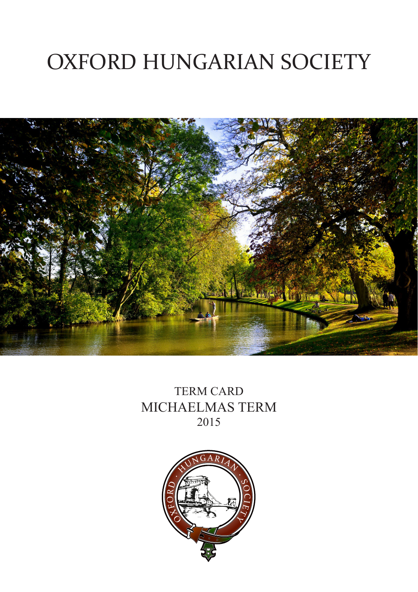# OXFORD HUNGARIAN SOCIETY



TERM CARD MICHAELMAS TERM 2015

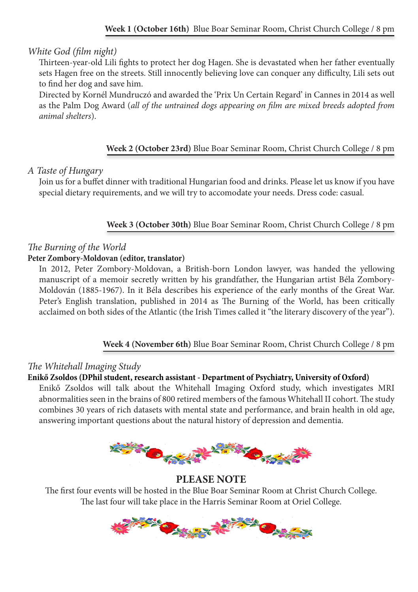#### *White God (film night)*

Thirteen-year-old Lili fights to protect her dog Hagen. She is devastated when her father eventually sets Hagen free on the streets. Still innocently believing love can conquer any difficulty, Lili sets out to find her dog and save him.

Directed by Kornél Mundruczó and awarded the 'Prix Un Certain Regard' in Cannes in 2014 as well as the Palm Dog Award (*all of the untrained dogs appearing on film are mixed breeds adopted from animal shelters*).

#### **Week 2 (October 23rd)** Blue Boar Seminar Room, Christ Church College / 8 pm

#### *A Taste of Hungary*

Join us for a buffet dinner with traditional Hungarian food and drinks. Please let us know if you have special dietary requirements, and we will try to accomodate your needs. Dress code: casual.

#### **Week 3 (October 30th)** Blue Boar Seminar Room, Christ Church College / 8 pm

## *The Burning of the World*

#### **Peter Zombory-Moldovan (editor, translator)**

In 2012, Peter Zombory-Moldovan, a British-born London lawyer, was handed the yellowing manuscript of a memoir secretly written by his grandfather, the Hungarian artist Béla Zombory-Moldován (1885-1967). In it Béla describes his experience of the early months of the Great War. Peter's English translation, published in 2014 as The Burning of the World, has been critically acclaimed on both sides of the Atlantic (the Irish Times called it "the literary discovery of the year").

#### **Week 4 (November 6th)** Blue Boar Seminar Room, Christ Church College / 8 pm

#### *The Whitehall Imaging Study*

#### **Enikő Zsoldos (DPhil student, research assistant - Department of Psychiatry, University of Oxford)**

Enikő Zsoldos will talk about the Whitehall Imaging Oxford study, which investigates MRI abnormalities seen in the brains of 800 retired members of the famous Whitehall II cohort. The study combines 30 years of rich datasets with mental state and performance, and brain health in old age, answering important questions about the natural history of depression and dementia.



#### **PLEASE NOTE**

The first four events will be hosted in the Blue Boar Seminar Room at Christ Church College. The last four will take place in the Harris Seminar Room at Oriel College.

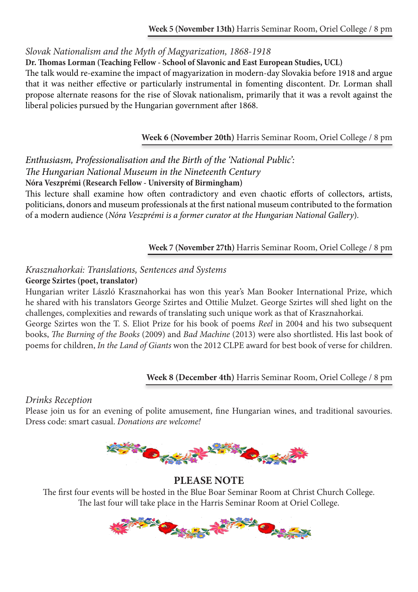*Slovak Nationalism and the Myth of Magyarization, 1868-1918*

**Dr. Thomas Lorman (Teaching Fellow - School of Slavonic and East European Studies, UCL)**

The talk would re-examine the impact of magyarization in modern-day Slovakia before 1918 and argue that it was neither effective or particularly instrumental in fomenting discontent. Dr. Lorman shall propose alternate reasons for the rise of Slovak nationalism, primarily that it was a revolt against the liberal policies pursued by the Hungarian government after 1868.

**Week 6 (November 20th)** Harris Seminar Room, Oriel College / 8 pm

*Enthusiasm, Professionalisation and the Birth of the 'National Public': The Hungarian National Museum in the Nineteenth Century* **Nóra Veszprémi (Research Fellow - University of Birmingham)**

This lecture shall examine how often contradictory and even chaotic efforts of collectors, artists, politicians, donors and museum professionals at the first national museum contributed to the formation of a modern audience (*Nóra Veszprémi is a former curator at the Hungarian National Gallery*)*.*

**Week 7 (November 27th)** Harris Seminar Room, Oriel College / 8 pm

#### *Krasznahorkai: Translations, Sentences and Systems* **George Szirtes (poet, translator)**

Hungarian writer László Krasznahorkai has won this year's Man Booker International Prize, which he shared with his translators George Szirtes and Ottilie Mulzet. George Szirtes will shed light on the challenges, complexities and rewards of translating such unique work as that of Krasznahorkai.

George Szirtes won the T. S. Eliot Prize for his book of poems *Reel* in 2004 and his two subsequent books, *The Burning of the Books* (2009) and *Bad Machine* (2013) were also shortlisted. His last book of poems for children, *In the Land of Giants* won the 2012 CLPE award for best book of verse for children.

**Week 8 (December 4th)** Harris Seminar Room, Oriel College / 8 pm

#### *Drinks Reception*

Please join us for an evening of polite amusement, fine Hungarian wines, and traditional savouries. Dress code: smart casual. *Donations are welcome!*



## **PLEASE NOTE**

The first four events will be hosted in the Blue Boar Seminar Room at Christ Church College. The last four will take place in the Harris Seminar Room at Oriel College.